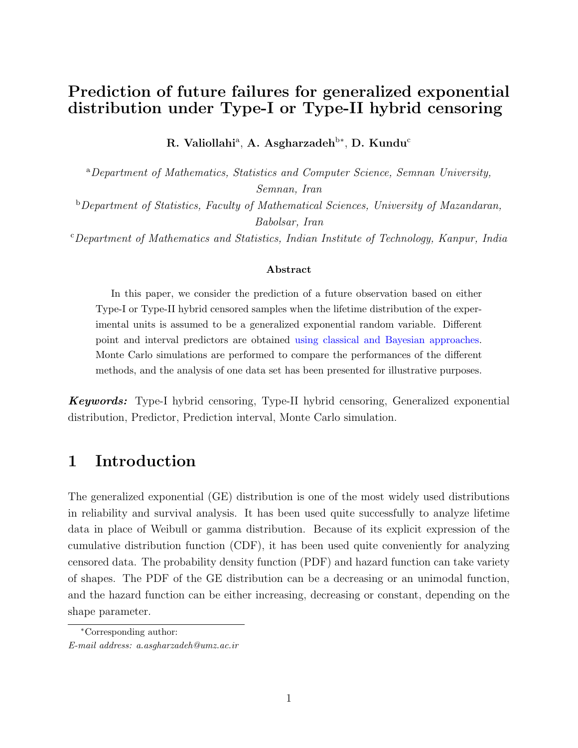## Prediction of future failures for generalized exponential distribution under Type-I or Type-II hybrid censoring

R. Valiollahi $^{\rm a}$ , A. Asgharzadeh $^{\rm b*}$ , D. Kundu $^{\rm c}$ 

<sup>a</sup>Department of Mathematics, Statistics and Computer Science, Semnan University, Semnan, Iran

b Department of Statistics, Faculty of Mathematical Sciences, University of Mazandaran, Babolsar, Iran

<sup>c</sup>Department of Mathematics and Statistics, Indian Institute of Technology, Kanpur, India

#### Abstract

In this paper, we consider the prediction of a future observation based on either Type-I or Type-II hybrid censored samples when the lifetime distribution of the experimental units is assumed to be a generalized exponential random variable. Different point and interval predictors are obtained using classical and Bayesian approaches. Monte Carlo simulations are performed to compare the performances of the different methods, and the analysis of one data set has been presented for illustrative purposes.

**Keywords:** Type-I hybrid censoring, Type-II hybrid censoring, Generalized exponential distribution, Predictor, Prediction interval, Monte Carlo simulation.

#### 1 Introduction

The generalized exponential (GE) distribution is one of the most widely used distributions in reliability and survival analysis. It has been used quite successfully to analyze lifetime data in place of Weibull or gamma distribution. Because of its explicit expression of the cumulative distribution function (CDF), it has been used quite conveniently for analyzing censored data. The probability density function (PDF) and hazard function can take variety of shapes. The PDF of the GE distribution can be a decreasing or an unimodal function, and the hazard function can be either increasing, decreasing or constant, depending on the shape parameter.

<sup>∗</sup>Corresponding author: E-mail address: a.asgharzadeh@umz.ac.ir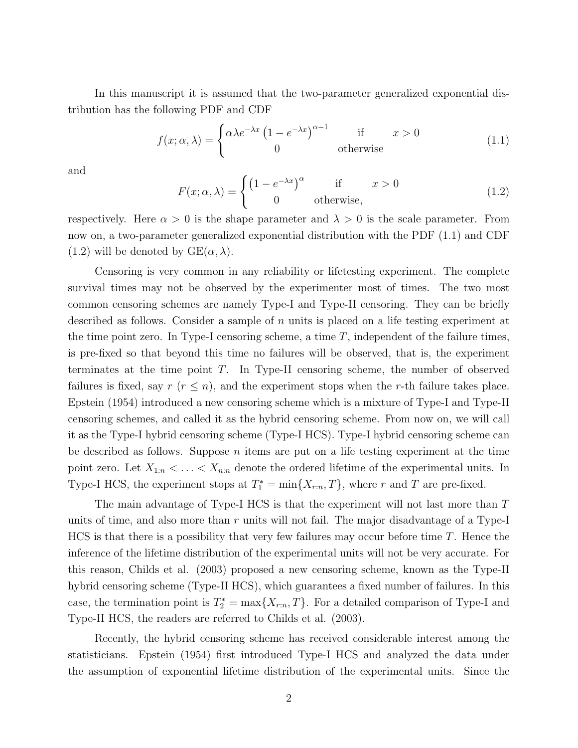In this manuscript it is assumed that the two-parameter generalized exponential distribution has the following PDF and CDF

$$
f(x; \alpha, \lambda) = \begin{cases} \alpha \lambda e^{-\lambda x} \left(1 - e^{-\lambda x}\right)^{\alpha - 1} & \text{if } x > 0\\ 0 & \text{otherwise} \end{cases}
$$
(1.1)

and

$$
F(x; \alpha, \lambda) = \begin{cases} \left(1 - e^{-\lambda x}\right)^{\alpha} & \text{if } x > 0\\ 0 & \text{otherwise,} \end{cases}
$$
 (1.2)

respectively. Here  $\alpha > 0$  is the shape parameter and  $\lambda > 0$  is the scale parameter. From now on, a two-parameter generalized exponential distribution with the PDF (1.1) and CDF (1.2) will be denoted by  $GE(\alpha, \lambda)$ .

Censoring is very common in any reliability or lifetesting experiment. The complete survival times may not be observed by the experimenter most of times. The two most common censoring schemes are namely Type-I and Type-II censoring. They can be briefly described as follows. Consider a sample of n units is placed on a life testing experiment at the time point zero. In Type-I censoring scheme, a time  $T$ , independent of the failure times, is pre-fixed so that beyond this time no failures will be observed, that is, the experiment terminates at the time point T. In Type-II censoring scheme, the number of observed failures is fixed, say  $r (r \leq n)$ , and the experiment stops when the r-th failure takes place. Epstein (1954) introduced a new censoring scheme which is a mixture of Type-I and Type-II censoring schemes, and called it as the hybrid censoring scheme. From now on, we will call it as the Type-I hybrid censoring scheme (Type-I HCS). Type-I hybrid censoring scheme can be described as follows. Suppose *n* items are put on a life testing experiment at the time point zero. Let  $X_{1:n} < \ldots < X_{n:n}$  denote the ordered lifetime of the experimental units. In Type-I HCS, the experiment stops at  $T_1^* = \min\{X_{r:n}, T\}$ , where r and T are pre-fixed.

The main advantage of Type-I HCS is that the experiment will not last more than T units of time, and also more than  $r$  units will not fail. The major disadvantage of a Type-I  $HCS$  is that there is a possibility that very few failures may occur before time T. Hence the inference of the lifetime distribution of the experimental units will not be very accurate. For this reason, Childs et al. (2003) proposed a new censoring scheme, known as the Type-II hybrid censoring scheme (Type-II HCS), which guarantees a fixed number of failures. In this case, the termination point is  $T_2^* = \max\{X_{r:n}, T\}$ . For a detailed comparison of Type-I and Type-II HCS, the readers are referred to Childs et al. (2003).

Recently, the hybrid censoring scheme has received considerable interest among the statisticians. Epstein (1954) first introduced Type-I HCS and analyzed the data under the assumption of exponential lifetime distribution of the experimental units. Since the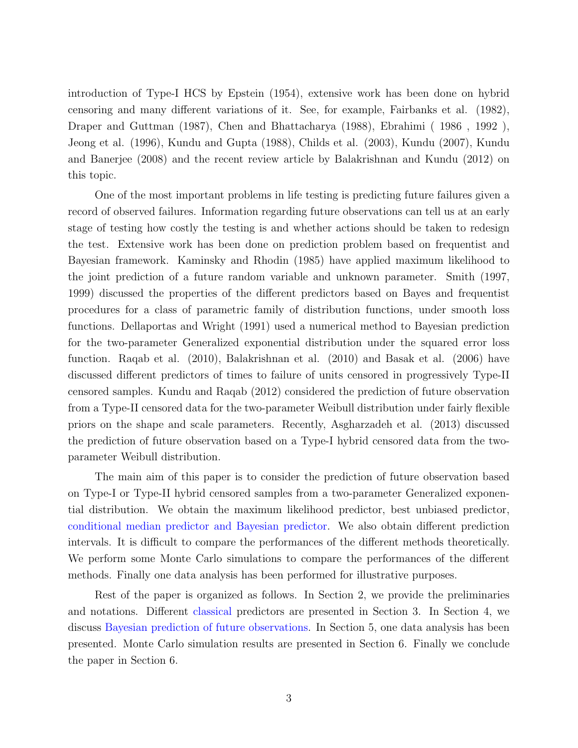introduction of Type-I HCS by Epstein (1954), extensive work has been done on hybrid censoring and many different variations of it. See, for example, Fairbanks et al. (1982), Draper and Guttman (1987), Chen and Bhattacharya (1988), Ebrahimi ( 1986 , 1992 ), Jeong et al. (1996), Kundu and Gupta (1988), Childs et al. (2003), Kundu (2007), Kundu and Banerjee (2008) and the recent review article by Balakrishnan and Kundu (2012) on this topic.

One of the most important problems in life testing is predicting future failures given a record of observed failures. Information regarding future observations can tell us at an early stage of testing how costly the testing is and whether actions should be taken to redesign the test. Extensive work has been done on prediction problem based on frequentist and Bayesian framework. Kaminsky and Rhodin (1985) have applied maximum likelihood to the joint prediction of a future random variable and unknown parameter. Smith (1997, 1999) discussed the properties of the different predictors based on Bayes and frequentist procedures for a class of parametric family of distribution functions, under smooth loss functions. Dellaportas and Wright (1991) used a numerical method to Bayesian prediction for the two-parameter Generalized exponential distribution under the squared error loss function. Raqab et al. (2010), Balakrishnan et al. (2010) and Basak et al. (2006) have discussed different predictors of times to failure of units censored in progressively Type-II censored samples. Kundu and Raqab (2012) considered the prediction of future observation from a Type-II censored data for the two-parameter Weibull distribution under fairly flexible priors on the shape and scale parameters. Recently, Asgharzadeh et al. (2013) discussed the prediction of future observation based on a Type-I hybrid censored data from the twoparameter Weibull distribution.

The main aim of this paper is to consider the prediction of future observation based on Type-I or Type-II hybrid censored samples from a two-parameter Generalized exponential distribution. We obtain the maximum likelihood predictor, best unbiased predictor, conditional median predictor and Bayesian predictor. We also obtain different prediction intervals. It is difficult to compare the performances of the different methods theoretically. We perform some Monte Carlo simulations to compare the performances of the different methods. Finally one data analysis has been performed for illustrative purposes.

Rest of the paper is organized as follows. In Section 2, we provide the preliminaries and notations. Different classical predictors are presented in Section 3. In Section 4, we discuss Bayesian prediction of future observations. In Section 5, one data analysis has been presented. Monte Carlo simulation results are presented in Section 6. Finally we conclude the paper in Section 6.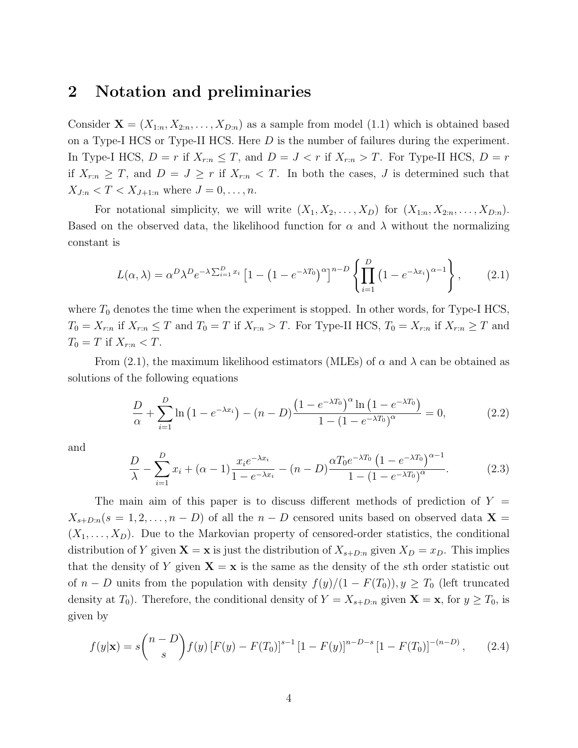#### 2 Notation and preliminaries

Consider  $\mathbf{X} = (X_{1:n}, X_{2:n}, \ldots, X_{D:n})$  as a sample from model (1.1) which is obtained based on a Type-I HCS or Type-II HCS. Here D is the number of failures during the experiment. In Type-I HCS,  $D = r$  if  $X_{r:n} \leq T$ , and  $D = J < r$  if  $X_{r:n} > T$ . For Type-II HCS,  $D = r$ if  $X_{r:n} \geq T$ , and  $D = J \geq r$  if  $X_{r:n} < T$ . In both the cases, J is determined such that  $X_{J:n} < T < X_{J+1:n}$  where  $J = 0, ..., n$ .

For notational simplicity, we will write  $(X_1, X_2, \ldots, X_D)$  for  $(X_{1:n}, X_{2:n}, \ldots, X_{D:n})$ . Based on the observed data, the likelihood function for  $\alpha$  and  $\lambda$  without the normalizing constant is

$$
L(\alpha,\lambda) = \alpha^D \lambda^D e^{-\lambda \sum_{i=1}^D x_i} \left[ 1 - \left( 1 - e^{-\lambda T_0} \right)^{\alpha} \right]^{n-D} \left\{ \prod_{i=1}^D \left( 1 - e^{-\lambda x_i} \right)^{\alpha-1} \right\},\tag{2.1}
$$

where  $T_0$  denotes the time when the experiment is stopped. In other words, for Type-I HCS,  $T_0 = X_{r:n}$  if  $X_{r:n} \leq T$  and  $T_0 = T$  if  $X_{r:n} > T$ . For Type-II HCS,  $T_0 = X_{r:n}$  if  $X_{r:n} \geq T$  and  $T_0 = T$  if  $X_{r:n} < T$ .

From (2.1), the maximum likelihood estimators (MLEs) of  $\alpha$  and  $\lambda$  can be obtained as solutions of the following equations

$$
\frac{D}{\alpha} + \sum_{i=1}^{D} \ln(1 - e^{-\lambda x_i}) - (n - D) \frac{\left(1 - e^{-\lambda T_0}\right)^{\alpha} \ln(1 - e^{-\lambda T_0})}{1 - (1 - e^{-\lambda T_0})^{\alpha}} = 0, \tag{2.2}
$$

and

$$
\frac{D}{\lambda} - \sum_{i=1}^{D} x_i + (\alpha - 1) \frac{x_i e^{-\lambda x_i}}{1 - e^{-\lambda x_i}} - (n - D) \frac{\alpha T_0 e^{-\lambda T_0} \left(1 - e^{-\lambda T_0}\right)^{\alpha - 1}}{1 - (1 - e^{-\lambda T_0})^{\alpha}}.
$$
(2.3)

The main aim of this paper is to discuss different methods of prediction of  $Y =$  $X_{s+D:n}(s = 1, 2, \ldots, n - D)$  of all the  $n - D$  censored units based on observed data  $\mathbf{X} =$  $(X_1, \ldots, X_D)$ . Due to the Markovian property of censored-order statistics, the conditional distribution of Y given  $X = x$  is just the distribution of  $X_{s+D:n}$  given  $X_D = x_D$ . This implies that the density of Y given  $X = x$  is the same as the density of the sth order statistic out of  $n - D$  units from the population with density  $f(y)/(1 - F(T_0))$ ,  $y \geq T_0$  (left truncated density at  $T_0$ ). Therefore, the conditional density of  $Y = X_{s+D:n}$  given  $\mathbf{X} = \mathbf{x}$ , for  $y \geq T_0$ , is given by

$$
f(y|\mathbf{x}) = s \binom{n-D}{s} f(y) \left[ F(y) - F(T_0) \right]^{s-1} \left[ 1 - F(y) \right]^{n-D-s} \left[ 1 - F(T_0) \right]^{-(n-D)}, \tag{2.4}
$$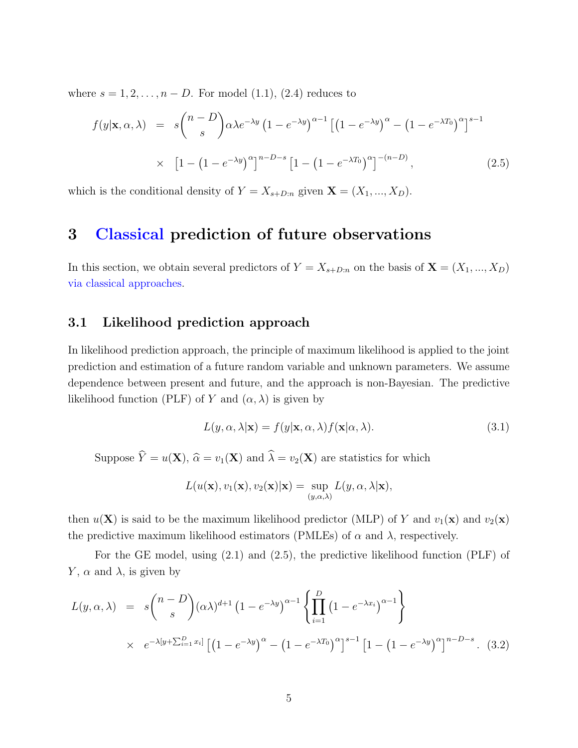where  $s = 1, 2, \ldots, n - D$ . For model (1.1), (2.4) reduces to

$$
f(y|\mathbf{x}, \alpha, \lambda) = s \binom{n-D}{s} \alpha \lambda e^{-\lambda y} \left(1 - e^{-\lambda y}\right)^{\alpha-1} \left[\left(1 - e^{-\lambda y}\right)^{\alpha} - \left(1 - e^{-\lambda T_0}\right)^{\alpha}\right]^{s-1}
$$

$$
\times \left[1 - \left(1 - e^{-\lambda y}\right)^{\alpha}\right]^{n-D-s} \left[1 - \left(1 - e^{-\lambda T_0}\right)^{\alpha}\right]^{-(n-D)}, \tag{2.5}
$$

which is the conditional density of  $Y = X_{s+D:n}$  given  $\mathbf{X} = (X_1, ..., X_D)$ .

#### 3 Classical prediction of future observations

In this section, we obtain several predictors of  $Y = X_{s+D:n}$  on the basis of  $\mathbf{X} = (X_1, ..., X_D)$ via classical approaches.

#### 3.1 Likelihood prediction approach

In likelihood prediction approach, the principle of maximum likelihood is applied to the joint prediction and estimation of a future random variable and unknown parameters. We assume dependence between present and future, and the approach is non-Bayesian. The predictive likelihood function (PLF) of Y and  $(\alpha, \lambda)$  is given by

$$
L(y, \alpha, \lambda | \mathbf{x}) = f(y | \mathbf{x}, \alpha, \lambda) f(\mathbf{x} | \alpha, \lambda).
$$
\n(3.1)

Suppose  $\hat{Y} = u(\mathbf{X}), \hat{\alpha} = v_1(\mathbf{X})$  and  $\hat{\lambda} = v_2(\mathbf{X})$  are statistics for which

$$
L(u(\mathbf{x}), v_1(\mathbf{x}), v_2(\mathbf{x})|\mathbf{x}) = \sup_{(y,\alpha,\lambda)} L(y,\alpha,\lambda|\mathbf{x}),
$$

then  $u(\mathbf{X})$  is said to be the maximum likelihood predictor (MLP) of Y and  $v_1(\mathbf{x})$  and  $v_2(\mathbf{x})$ the predictive maximum likelihood estimators (PMLEs) of  $\alpha$  and  $\lambda$ , respectively.

For the GE model, using (2.1) and (2.5), the predictive likelihood function (PLF) of Y,  $\alpha$  and  $\lambda$ , is given by

$$
L(y, \alpha, \lambda) = s \binom{n-D}{s} (\alpha \lambda)^{d+1} \left(1 - e^{-\lambda y} \right)^{\alpha-1} \left\{ \prod_{i=1}^{D} \left(1 - e^{-\lambda x_i} \right)^{\alpha-1} \right\}
$$
  
 
$$
\times e^{-\lambda [y + \sum_{i=1}^{D} x_i]} \left[ \left(1 - e^{-\lambda y} \right)^{\alpha} - \left(1 - e^{-\lambda T_0} \right)^{\alpha} \right]^{s-1} \left[1 - \left(1 - e^{-\lambda y} \right)^{\alpha} \right]^{n-D-s} . (3.2)
$$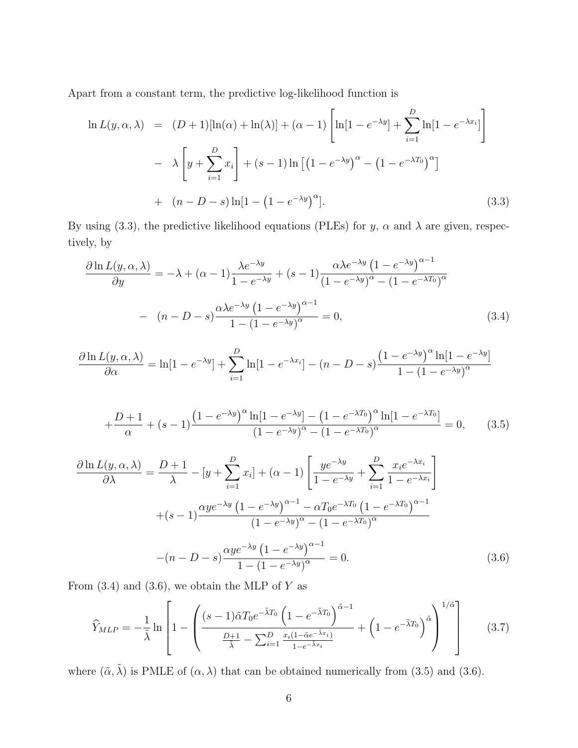Apart from a constant term, the predictive log-likelihood function is

$$
\ln L(y, \alpha, \lambda) = (D+1)[\ln(\alpha) + \ln(\lambda)] + (\alpha - 1) \left[ \ln[1 - e^{-\lambda y}] + \sum_{i=1}^{D} \ln[1 - e^{-\lambda x_i}] \right]
$$

$$
- \lambda \left[ y + \sum_{i=1}^{D} x_i \right] + (s - 1) \ln \left[ (1 - e^{-\lambda y})^{\alpha} - (1 - e^{-\lambda T_0})^{\alpha} \right]
$$

$$
+ (n - D - s) \ln[1 - (1 - e^{-\lambda y})^{\alpha}]. \tag{3.3}
$$

By using (3.3), the predictive likelihood equations (PLEs) for y,  $\alpha$  and  $\lambda$  are given, respectively, by

$$
\frac{\partial \ln L(y, \alpha, \lambda)}{\partial y} = -\lambda + (\alpha - 1) \frac{\lambda e^{-\lambda y}}{1 - e^{-\lambda y}} + (s - 1) \frac{\alpha \lambda e^{-\lambda y} (1 - e^{-\lambda y})^{\alpha - 1}}{(1 - e^{-\lambda y})^{\alpha} - (1 - e^{-\lambda T_0})^{\alpha}}
$$

$$
- (n - D - s) \frac{\alpha \lambda e^{-\lambda y} (1 - e^{-\lambda y})^{\alpha - 1}}{1 - (1 - e^{-\lambda y})^{\alpha}} = 0,
$$
(3.4)

$$
\frac{\partial \ln L(y, \alpha, \lambda)}{\partial \alpha} = \ln[1 - e^{-\lambda y}] + \sum_{i=1}^{D} \ln[1 - e^{-\lambda x_i}] - (n - D - s) \frac{\left(1 - e^{-\lambda y}\right)^{\alpha} \ln[1 - e^{-\lambda y}]}{1 - \left(1 - e^{-\lambda y}\right)^{\alpha}}
$$

$$
+\frac{D+1}{\alpha} + (s-1)\frac{\left(1 - e^{-\lambda y}\right)^{\alpha}\ln\left[1 - e^{-\lambda y}\right] - \left(1 - e^{-\lambda T_0}\right)^{\alpha}\ln\left[1 - e^{-\lambda T_0}\right]}{\left(1 - e^{-\lambda y}\right)^{\alpha} - \left(1 - e^{-\lambda T_0}\right)^{\alpha}} = 0, \quad (3.5)
$$

$$
\frac{\partial \ln L(y, \alpha, \lambda)}{\partial \lambda} = \frac{D+1}{\lambda} - [y + \sum_{i=1}^{D} x_i] + (\alpha - 1) \left[ \frac{y e^{-\lambda y}}{1 - e^{-\lambda y}} + \sum_{i=1}^{D} \frac{x_i e^{-\lambda x_i}}{1 - e^{-\lambda x_i}} \right] + (s - 1) \frac{\alpha y e^{-\lambda y} (1 - e^{-\lambda y})^{\alpha - 1} - \alpha T_0 e^{-\lambda T_0} (1 - e^{-\lambda T_0})^{\alpha - 1}}{(1 - e^{-\lambda y})^{\alpha} - (1 - e^{-\lambda T_0})^{\alpha}} - (n - D - s) \frac{\alpha y e^{-\lambda y} (1 - e^{-\lambda y})^{\alpha - 1}}{1 - (1 - e^{-\lambda y})^{\alpha}} = 0.
$$
\n(3.6)

From  $(3.4)$  and  $(3.6)$ , we obtain the MLP of Y as

$$
\widehat{Y}_{MLP} = -\frac{1}{\tilde{\lambda}} \ln \left[ 1 - \left( \frac{(s-1)\tilde{\alpha}T_0 e^{-\tilde{\lambda}T_0} \left( 1 - e^{-\tilde{\lambda}T_0} \right)^{\tilde{\alpha}-1}}{\frac{D+1}{\tilde{\lambda}} - \sum_{i=1}^D \frac{x_i (1 - \tilde{\alpha}e^{-\tilde{\lambda}x_i})}{1 - e^{-\tilde{\lambda}x_i}}} + \left( 1 - e^{-\tilde{\lambda}T_0} \right)^{\tilde{\alpha}} \right)^{1/\tilde{\alpha}} \right]
$$
(3.7)

where  $(\tilde{\alpha}, \tilde{\lambda})$  is PMLE of  $(\alpha, \lambda)$  that can be obtained numerically from (3.5) and (3.6).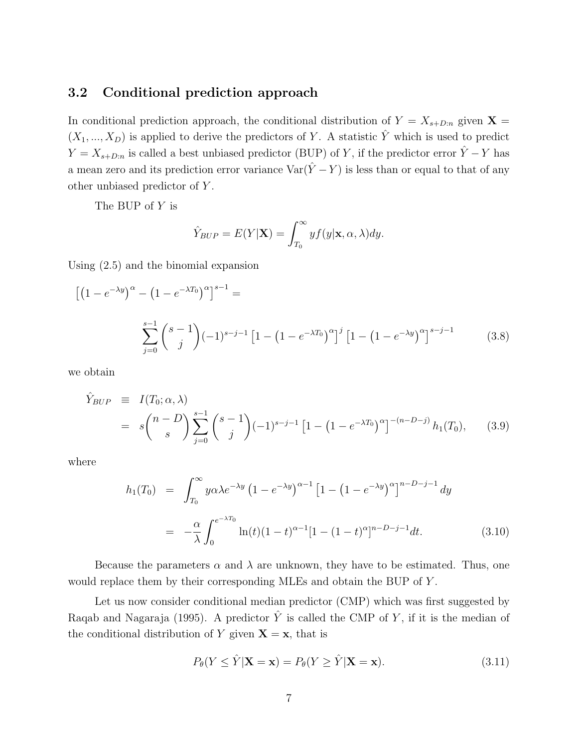#### 3.2 Conditional prediction approach

In conditional prediction approach, the conditional distribution of  $Y = X_{s+D:n}$  given  $\mathbf{X} =$  $(X_1, ..., X_D)$  is applied to derive the predictors of Y. A statistic  $\hat{Y}$  which is used to predict  $Y = X_{s+D:n}$  is called a best unbiased predictor (BUP) of Y, if the predictor error  $\hat{Y} - Y$  has a mean zero and its prediction error variance  $\text{Var}(\hat{Y} - Y)$  is less than or equal to that of any other unbiased predictor of Y .

The BUP of Y is

$$
\hat{Y}_{BUP} = E(Y|\mathbf{X}) = \int_{T_0}^{\infty} y f(y|\mathbf{x}, \alpha, \lambda) dy.
$$

Using (2.5) and the binomial expansion

$$
\left[ \left( 1 - e^{-\lambda y} \right)^{\alpha} - \left( 1 - e^{-\lambda T_0} \right)^{\alpha} \right]^{s-1} =
$$
\n
$$
\sum_{j=0}^{s-1} {s-1 \choose j} (-1)^{s-j-1} \left[ 1 - \left( 1 - e^{-\lambda T_0} \right)^{\alpha} \right]^j \left[ 1 - \left( 1 - e^{-\lambda y} \right)^{\alpha} \right]^{s-j-1} \tag{3.8}
$$

we obtain

$$
\hat{Y}_{BUP} \equiv I(T_0; \alpha, \lambda) \n= s \binom{n-D}{s} \sum_{j=0}^{s-1} \binom{s-1}{j} (-1)^{s-j-1} \left[ 1 - \left( 1 - e^{-\lambda T_0} \right)^{\alpha} \right]^{-(n-D-j)} h_1(T_0), \quad (3.9)
$$

where

$$
h_1(T_0) = \int_{T_0}^{\infty} y \alpha \lambda e^{-\lambda y} \left(1 - e^{-\lambda y}\right)^{\alpha - 1} \left[1 - \left(1 - e^{-\lambda y}\right)^{\alpha}\right]^{n - D - j - 1} dy
$$
  

$$
= -\frac{\alpha}{\lambda} \int_0^{e^{-\lambda T_0}} \ln(t) (1 - t)^{\alpha - 1} [1 - (1 - t)^{\alpha}]^{n - D - j - 1} dt. \tag{3.10}
$$

Because the parameters  $\alpha$  and  $\lambda$  are unknown, they have to be estimated. Thus, one would replace them by their corresponding MLEs and obtain the BUP of Y.

Let us now consider conditional median predictor (CMP) which was first suggested by Raqab and Nagaraja (1995). A predictor  $\hat{Y}$  is called the CMP of Y, if it is the median of the conditional distribution of Y given  $X = x$ , that is

$$
P_{\theta}(Y \le \hat{Y} | \mathbf{X} = \mathbf{x}) = P_{\theta}(Y \ge \hat{Y} | \mathbf{X} = \mathbf{x}). \tag{3.11}
$$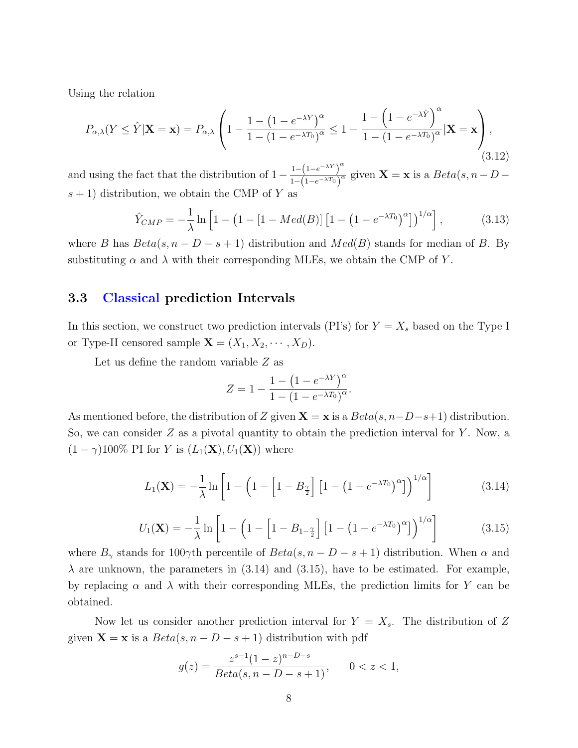Using the relation

$$
P_{\alpha,\lambda}(Y \le \hat{Y} | \mathbf{X} = \mathbf{x}) = P_{\alpha,\lambda} \left( 1 - \frac{1 - (1 - e^{-\lambda Y})^{\alpha}}{1 - (1 - e^{-\lambda T_0})^{\alpha}} \le 1 - \frac{1 - (1 - e^{-\lambda \hat{Y}})}{1 - (1 - e^{-\lambda T_0})^{\alpha}} | \mathbf{X} = \mathbf{x} \right),\tag{3.12}
$$

and using the fact that the distribution of  $1 - \frac{1 - (1 - e^{-\lambda Y})^{\alpha}}{1 - (1 - e^{-\lambda Y})^{\alpha}}$  $\frac{1-(1-e^{-\lambda T})}{1-(1-e^{-\lambda T})^{\alpha}}$  given  $\mathbf{X} = \mathbf{x}$  is a  $Beta(s, n - D$  $s + 1$ ) distribution, we obtain the CMP of Y as

$$
\hat{Y}_{CMP} = -\frac{1}{\lambda} \ln \left[ 1 - \left( 1 - [1 - Med(B)] \left[ 1 - \left( 1 - e^{-\lambda T_0} \right)^{\alpha} \right] \right)^{1/\alpha} \right],\tag{3.13}
$$

where B has  $Beta(s, n - D - s + 1)$  distribution and  $Med(B)$  stands for median of B. By substituting  $\alpha$  and  $\lambda$  with their corresponding MLEs, we obtain the CMP of Y.

#### 3.3 Classical prediction Intervals

In this section, we construct two prediction intervals (PI's) for  $Y = X_s$  based on the Type I or Type-II censored sample  $\mathbf{X} = (X_1, X_2, \cdots, X_D)$ .

Let us define the random variable Z as

$$
Z = 1 - \frac{1 - (1 - e^{-\lambda Y})^{\alpha}}{1 - (1 - e^{-\lambda T_0})^{\alpha}}.
$$

As mentioned before, the distribution of Z given  $\mathbf{X} = \mathbf{x}$  is a  $Beta(s, n-D-s+1)$  distribution. So, we can consider  $Z$  as a pivotal quantity to obtain the prediction interval for  $Y$ . Now, a  $(1 - \gamma)100\%$  PI for Y is  $(L_1(\mathbf{X}), U_1(\mathbf{X}))$  where

$$
L_1(\mathbf{X}) = -\frac{1}{\lambda} \ln \left[ 1 - \left( 1 - \left[ 1 - B_{\frac{\gamma}{2}} \right] \left[ 1 - \left( 1 - e^{-\lambda T_0} \right)^{\alpha} \right] \right)^{1/\alpha} \right]
$$
(3.14)

$$
U_1(\mathbf{X}) = -\frac{1}{\lambda} \ln \left[ 1 - \left( 1 - \left[ 1 - B_{1-\frac{\gamma}{2}} \right] \left[ 1 - \left( 1 - e^{-\lambda T_0} \right)^{\alpha} \right] \right)^{1/\alpha} \right] \tag{3.15}
$$

where  $B_{\gamma}$  stands for 100 $\gamma$ th percentile of  $Beta(s, n - D - s + 1)$  distribution. When  $\alpha$  and  $\lambda$  are unknown, the parameters in (3.14) and (3.15), have to be estimated. For example, by replacing  $\alpha$  and  $\lambda$  with their corresponding MLEs, the prediction limits for Y can be obtained.

Now let us consider another prediction interval for  $Y = X_s$ . The distribution of Z given  $\mathbf{X} = \mathbf{x}$  is a  $Beta(s, n - D - s + 1)$  distribution with pdf

$$
g(z) = \frac{z^{s-1}(1-z)^{n-D-s}}{Beta(s, n-D-s+1)}, \qquad 0 < z < 1,
$$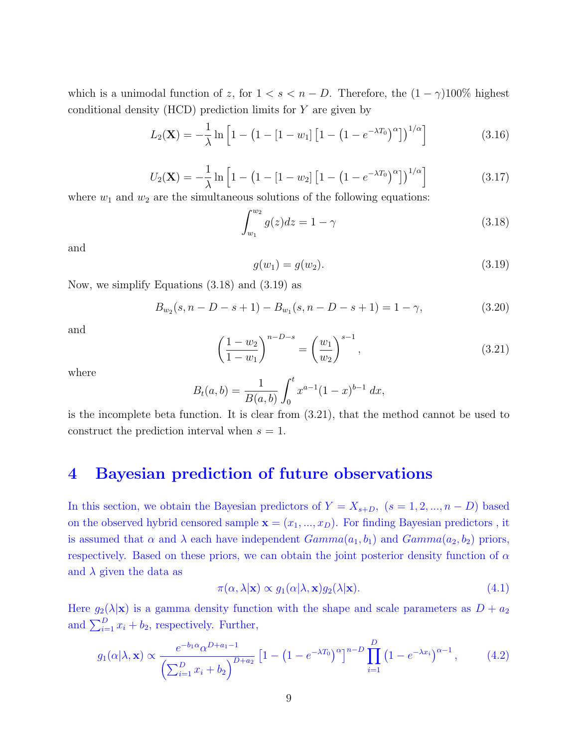which is a unimodal function of z, for  $1 < s < n - D$ . Therefore, the  $(1 - \gamma)100\%$  highest conditional density  $(HCD)$  prediction limits for  $Y$  are given by

$$
L_2(\mathbf{X}) = -\frac{1}{\lambda} \ln \left[ 1 - \left( 1 - [1 - w_1] \left[ 1 - \left( 1 - e^{-\lambda T_0} \right)^{\alpha} \right] \right)^{1/\alpha} \right] \tag{3.16}
$$

$$
U_2(\mathbf{X}) = -\frac{1}{\lambda} \ln \left[ 1 - \left( 1 - \left[ 1 - w_2 \right] \left[ 1 - \left( 1 - e^{-\lambda T_0} \right)^{\alpha} \right] \right)^{1/\alpha} \right]
$$
(3.17)

where  $w_1$  and  $w_2$  are the simultaneous solutions of the following equations:

$$
\int_{w_1}^{w_2} g(z)dz = 1 - \gamma \tag{3.18}
$$

and

$$
g(w_1) = g(w_2). \tag{3.19}
$$

Now, we simplify Equations (3.18) and (3.19) as

$$
B_{w_2}(s, n - D - s + 1) - B_{w_1}(s, n - D - s + 1) = 1 - \gamma,
$$
\n(3.20)

and

$$
\left(\frac{1-w_2}{1-w_1}\right)^{n-D-s} = \left(\frac{w_1}{w_2}\right)^{s-1},\tag{3.21}
$$

where

$$
B_t(a,b) = \frac{1}{B(a,b)} \int_0^t x^{a-1} (1-x)^{b-1} dx,
$$

is the incomplete beta function. It is clear from (3.21), that the method cannot be used to construct the prediction interval when  $s = 1$ .

#### 4 Bayesian prediction of future observations

In this section, we obtain the Bayesian predictors of  $Y = X_{s+D}$ ,  $(s = 1, 2, ..., n - D)$  based on the observed hybrid censored sample  $\mathbf{x} = (x_1, ..., x_D)$ . For finding Bayesian predictors, it is assumed that  $\alpha$  and  $\lambda$  each have independent  $Gamma(a_1, b_1)$  and  $Gamma(a_2, b_2)$  priors, respectively. Based on these priors, we can obtain the joint posterior density function of  $\alpha$ and  $\lambda$  given the data as

$$
\pi(\alpha, \lambda | \mathbf{x}) \propto g_1(\alpha | \lambda, \mathbf{x}) g_2(\lambda | \mathbf{x}). \tag{4.1}
$$

Here  $g_2(\lambda|\mathbf{x})$  is a gamma density function with the shape and scale parameters as  $D + a_2$ and  $\sum_{i=1}^{D} x_i + b_2$ , respectively. Further,

$$
g_1(\alpha|\lambda, \mathbf{x}) \propto \frac{e^{-b_1 \alpha} \alpha^{D+a_1-1}}{\left(\sum_{i=1}^D x_i + b_2\right)^{D+a_2}} \left[1 - \left(1 - e^{-\lambda T_0}\right)^{\alpha}\right]^{n-D} \prod_{i=1}^D \left(1 - e^{-\lambda x_i}\right)^{\alpha-1},\tag{4.2}
$$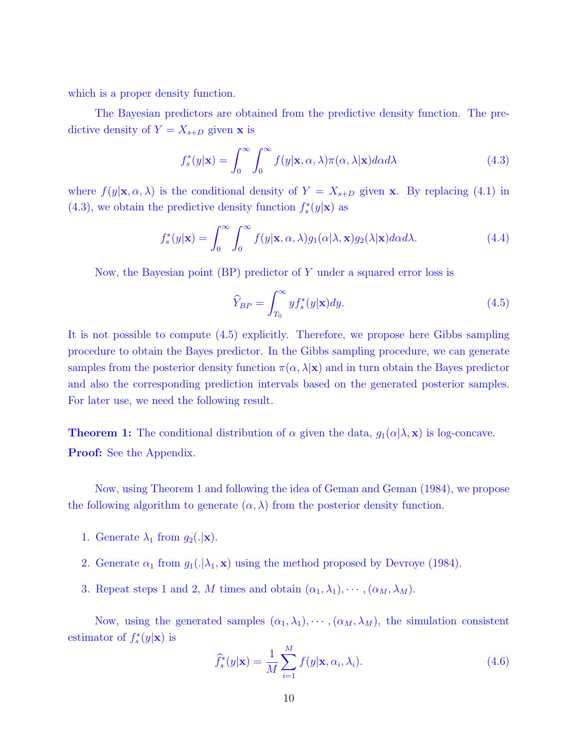which is a proper density function.

The Bayesian predictors are obtained from the predictive density function. The predictive density of  $Y = X_{s+D}$  given **x** is

$$
f_s^*(y|\mathbf{x}) = \int_0^\infty \int_0^\infty f(y|\mathbf{x}, \alpha, \lambda) \pi(\alpha, \lambda|\mathbf{x}) d\alpha d\lambda
$$
 (4.3)

where  $f(y|\mathbf{x}, \alpha, \lambda)$  is the conditional density of  $Y = X_{s+D}$  given x. By replacing (4.1) in (4.3), we obtain the predictive density function  $f_s^*(y|\mathbf{x})$  as

$$
f_s^*(y|\mathbf{x}) = \int_0^\infty \int_0^\infty f(y|\mathbf{x}, \alpha, \lambda) g_1(\alpha|\lambda, \mathbf{x}) g_2(\lambda|\mathbf{x}) d\alpha d\lambda.
$$
 (4.4)

Now, the Bayesian point (BP) predictor of Y under a squared error loss is

$$
\widehat{Y}_{BP} = \int_{T_0}^{\infty} y f_s^*(y|\mathbf{x}) dy.
$$
\n(4.5)

It is not possible to compute (4.5) explicitly. Therefore, we propose here Gibbs sampling procedure to obtain the Bayes predictor. In the Gibbs sampling procedure, we can generate samples from the posterior density function  $\pi(\alpha, \lambda | \mathbf{x})$  and in turn obtain the Bayes predictor and also the corresponding prediction intervals based on the generated posterior samples. For later use, we need the following result.

**Theorem 1:** The conditional distribution of  $\alpha$  given the data,  $g_1(\alpha|\lambda, \mathbf{x})$  is log-concave. **Proof:** See the Appendix.

Now, using Theorem 1 and following the idea of Geman and Geman (1984), we propose the following algorithm to generate  $(\alpha, \lambda)$  from the posterior density function.

- 1. Generate  $\lambda_1$  from  $g_2(.|\mathbf{x})$ .
- 2. Generate  $\alpha_1$  from  $g_1(.|\lambda_1, \mathbf{x})$  using the method proposed by Devroye (1984).
- 3. Repeat steps 1 and 2, M times and obtain  $(\alpha_1, \lambda_1), \cdots, (\alpha_M, \lambda_M)$ .

Now, using the generated samples  $(\alpha_1, \lambda_1), \cdots, (\alpha_M, \lambda_M)$ , the simulation consistent estimator of  $f_s^*(y|\mathbf{x})$  is

$$
\widehat{f}_s^*(y|\mathbf{x}) = \frac{1}{M} \sum_{i=1}^M f(y|\mathbf{x}, \alpha_i, \lambda_i).
$$
\n(4.6)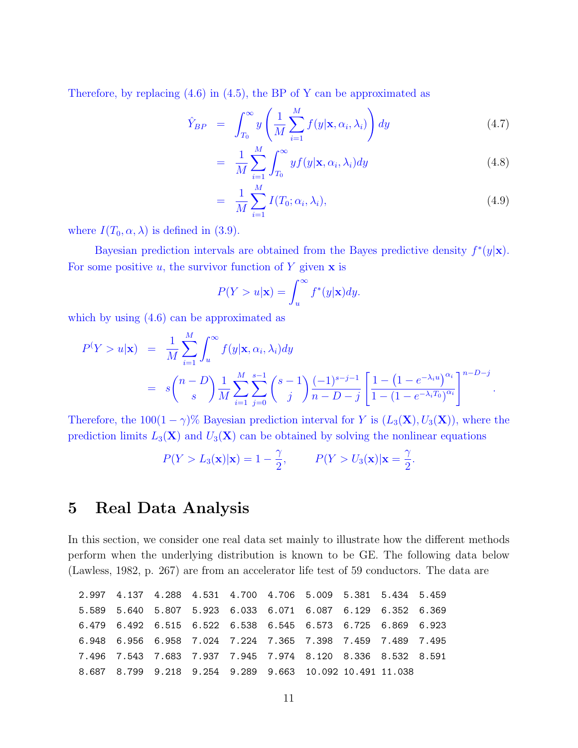Therefore, by replacing (4.6) in (4.5), the BP of Y can be approximated as

$$
\hat{Y}_{BP} = \int_{T_0}^{\infty} y \left( \frac{1}{M} \sum_{i=1}^{M} f(y | \mathbf{x}, \alpha_i, \lambda_i) \right) dy \tag{4.7}
$$

$$
= \frac{1}{M} \sum_{i=1}^{M} \int_{T_0}^{\infty} y f(y | \mathbf{x}, \alpha_i, \lambda_i) dy
$$
\n(4.8)

$$
= \frac{1}{M} \sum_{i=1}^{M} I(T_0; \alpha_i, \lambda_i), \qquad (4.9)
$$

where  $I(T_0, \alpha, \lambda)$  is defined in (3.9).

Bayesian prediction intervals are obtained from the Bayes predictive density  $f^*(y|\mathbf{x})$ . For some positive  $u$ , the survivor function of Y given  $x$  is

$$
P(Y > u|\mathbf{x}) = \int_u^\infty f^*(y|\mathbf{x}) dy.
$$

which by using  $(4.6)$  can be approximated as

$$
P(Y > u|\mathbf{x}) = \frac{1}{M} \sum_{i=1}^{M} \int_{u}^{\infty} f(y|\mathbf{x}, \alpha_i, \lambda_i) dy
$$
  
=  $s \binom{n-D}{s} \frac{1}{M} \sum_{i=1}^{M} \sum_{j=0}^{s-1} \binom{s-1}{j} \frac{(-1)^{s-j-1}}{n-D-j} \left[ \frac{1 - (1 - e^{-\lambda_i u})^{\alpha_i}}{1 - (1 - e^{-\lambda_i T_0})^{\alpha_i}} \right]^{n-D-j}.$ 

Therefore, the  $100(1 - \gamma)$ % Bayesian prediction interval for Y is  $(L_3(\mathbf{X}), U_3(\mathbf{X}))$ , where the prediction limits  $L_3(\mathbf{X})$  and  $U_3(\mathbf{X})$  can be obtained by solving the nonlinear equations

$$
P(Y > L_3(\mathbf{x})|\mathbf{x}) = 1 - \frac{\gamma}{2}, \qquad P(Y > U_3(\mathbf{x})|\mathbf{x} = \frac{\gamma}{2}.
$$

#### 5 Real Data Analysis

In this section, we consider one real data set mainly to illustrate how the different methods perform when the underlying distribution is known to be GE. The following data below (Lawless, 1982, p. 267) are from an accelerator life test of 59 conductors. The data are

|  |  |  | 2.997 4.137 4.288 4.531 4.700 4.706 5.009 5.381 5.434 5.459 |  |  |
|--|--|--|-------------------------------------------------------------|--|--|
|  |  |  | 5.589 5.640 5.807 5.923 6.033 6.071 6.087 6.129 6.352 6.369 |  |  |
|  |  |  | 6.479 6.492 6.515 6.522 6.538 6.545 6.573 6.725 6.869 6.923 |  |  |
|  |  |  | 6.948 6.956 6.958 7.024 7.224 7.365 7.398 7.459 7.489 7.495 |  |  |
|  |  |  | 7.496 7.543 7.683 7.937 7.945 7.974 8.120 8.336 8.532 8.591 |  |  |
|  |  |  | 8.687 8.799 9.218 9.254 9.289 9.663 10.092 10.491 11.038    |  |  |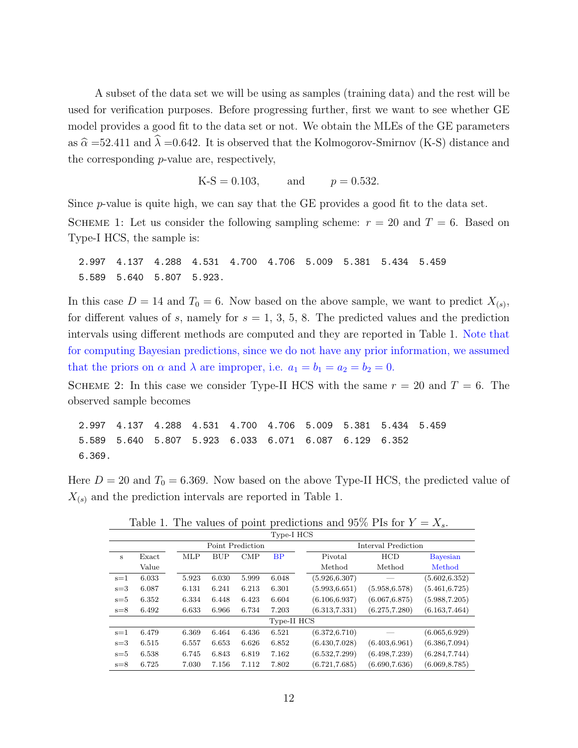A subset of the data set we will be using as samples (training data) and the rest will be used for verification purposes. Before progressing further, first we want to see whether GE model provides a good fit to the data set or not. We obtain the MLEs of the GE parameters as  $\hat{\alpha} = 52.411$  and  $\lambda = 0.642$ . It is observed that the Kolmogorov-Smirnov (K-S) distance and the corresponding p-value are, respectively,

 $K-S = 0.103$ , and  $p = 0.532$ .

Since  $p$ -value is quite high, we can say that the GE provides a good fit to the data set.

SCHEME 1: Let us consider the following sampling scheme:  $r = 20$  and  $T = 6$ . Based on Type-I HCS, the sample is:

2.997 4.137 4.288 4.531 4.700 4.706 5.009 5.381 5.434 5.459 5.589 5.640 5.807 5.923.

In this case  $D = 14$  and  $T_0 = 6$ . Now based on the above sample, we want to predict  $X_{(s)}$ , for different values of s, namely for  $s = 1, 3, 5, 8$ . The predicted values and the prediction intervals using different methods are computed and they are reported in Table 1. Note that for computing Bayesian predictions, since we do not have any prior information, we assumed that the priors on  $\alpha$  and  $\lambda$  are improper, i.e.  $a_1 = b_1 = a_2 = b_2 = 0$ .

SCHEME 2: In this case we consider Type-II HCS with the same  $r = 20$  and  $T = 6$ . The observed sample becomes

2.997 4.137 4.288 4.531 4.700 4.706 5.009 5.381 5.434 5.459 5.589 5.640 5.807 5.923 6.033 6.071 6.087 6.129 6.352 6.369.

Here  $D = 20$  and  $T_0 = 6.369$ . Now based on the above Type-II HCS, the predicted value of  $X_{(s)}$  and the prediction intervals are reported in Table 1.

| Type-I HCS |       |  |            |       |                  |             |  |                |                     |                 |
|------------|-------|--|------------|-------|------------------|-------------|--|----------------|---------------------|-----------------|
|            |       |  |            |       | Point Prediction |             |  |                | Interval Prediction |                 |
| S          | Exact |  | <b>MLP</b> | BUP   | $\text{CMP}$     | BP          |  | Pivotal        | HCD                 | <b>Bayesian</b> |
|            | Value |  |            |       |                  |             |  | Method         | Method              | Method          |
| $s=1$      | 6.033 |  | 5.923      | 6.030 | 5.999            | 6.048       |  | (5.926, 6.307) |                     | (5.602, 6.352)  |
| $s=3$      | 6.087 |  | 6.131      | 6.241 | 6.213            | 6.301       |  | (5.993, 6.651) | (5.958, 6.578)      | (5.461, 6.725)  |
| $s = 5$    | 6.352 |  | 6.334      | 6.448 | 6.423            | 6.604       |  | (6.106, 6.937) | (6.067, 6.875)      | (5.988, 7.205)  |
| $s=8$      | 6.492 |  | 6.633      | 6.966 | 6.734            | 7.203       |  | (6.313, 7.331) | (6.275, 7.280)      | (6.163, 7.464)  |
|            |       |  |            |       |                  | Type-II HCS |  |                |                     |                 |
| $s=1$      | 6.479 |  | 6.369      | 6.464 | 6.436            | 6.521       |  | (6.372, 6.710) |                     | (6.065, 6.929)  |
| $s = 3$    | 6.515 |  | 6.557      | 6.653 | 6.626            | 6.852       |  | (6.430, 7.028) | (6.403, 6.961)      | (6.386, 7.094)  |
| $s = 5$    | 6.538 |  | 6.745      | 6.843 | 6.819            | 7.162       |  | (6.532, 7.299) | (6.498, 7.239)      | (6.284, 7.744)  |
| $s=8$      | 6.725 |  | 7.030      | 7.156 | 7.112            | 7.802       |  | (6.721, 7.685) | (6.690, 7.636)      | (6.069, 8.785)  |

Table 1. The values of point predictions and 95% PIs for  $Y = X_s$ .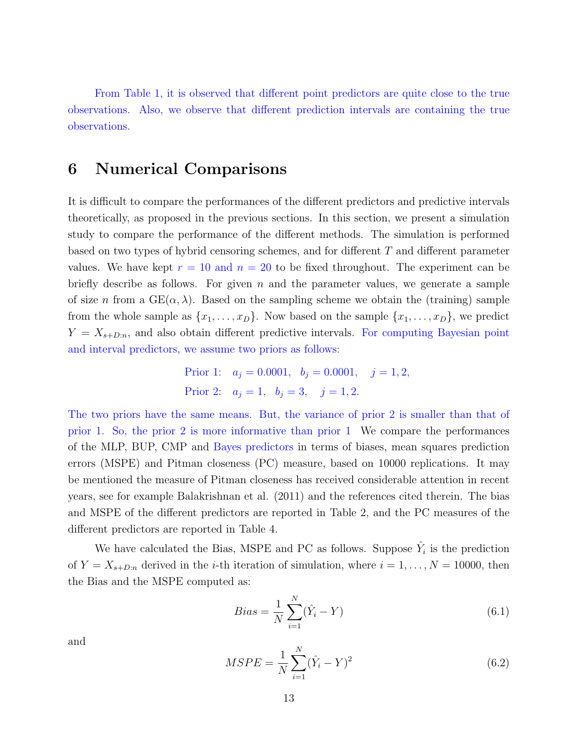From Table 1, it is observed that different point predictors are quite close to the true observations. Also, we observe that different prediction intervals are containing the true observations.

#### 6 Numerical Comparisons

It is difficult to compare the performances of the different predictors and predictive intervals theoretically, as proposed in the previous sections. In this section, we present a simulation study to compare the performance of the different methods. The simulation is performed based on two types of hybrid censoring schemes, and for different  $T$  and different parameter values. We have kept  $r = 10$  and  $n = 20$  to be fixed throughout. The experiment can be briefly describe as follows. For given n and the parameter values, we generate a sample of size n from a  $GE(\alpha, \lambda)$ . Based on the sampling scheme we obtain the (training) sample from the whole sample as  $\{x_1, \ldots, x_D\}$ . Now based on the sample  $\{x_1, \ldots, x_D\}$ , we predict  $Y = X_{s+D:n}$ , and also obtain different predictive intervals. For computing Bayesian point and interval predictors, we assume two priors as follows:

Prior 1: 
$$
a_j = 0.0001
$$
,  $b_j = 0.0001$ ,  $j = 1, 2$ ,  
Prior 2:  $a_j = 1$ ,  $b_j = 3$ ,  $j = 1, 2$ .

The two priors have the same means. But, the variance of prior 2 is smaller than that of prior 1. So, the prior 2 is more informative than prior 1 We compare the performances of the MLP, BUP, CMP and Bayes predictors in terms of biases, mean squares prediction errors (MSPE) and Pitman closeness (PC) measure, based on 10000 replications. It may be mentioned the measure of Pitman closeness has received considerable attention in recent years, see for example Balakrishnan et al. (2011) and the references cited therein. The bias and MSPE of the different predictors are reported in Table 2, and the PC measures of the different predictors are reported in Table 4.

We have calculated the Bias, MSPE and PC as follows. Suppose  $\hat{Y}_i$  is the prediction of  $Y = X_{s+D:n}$  derived in the *i*-th iteration of simulation, where  $i = 1, ..., N = 10000$ , then the Bias and the MSPE computed as:

$$
Bias = \frac{1}{N} \sum_{i=1}^{N} (\hat{Y}_i - Y)
$$
\n(6.1)

and

$$
MSPE = \frac{1}{N} \sum_{i=1}^{N} (\hat{Y}_i - Y)^2
$$
\n(6.2)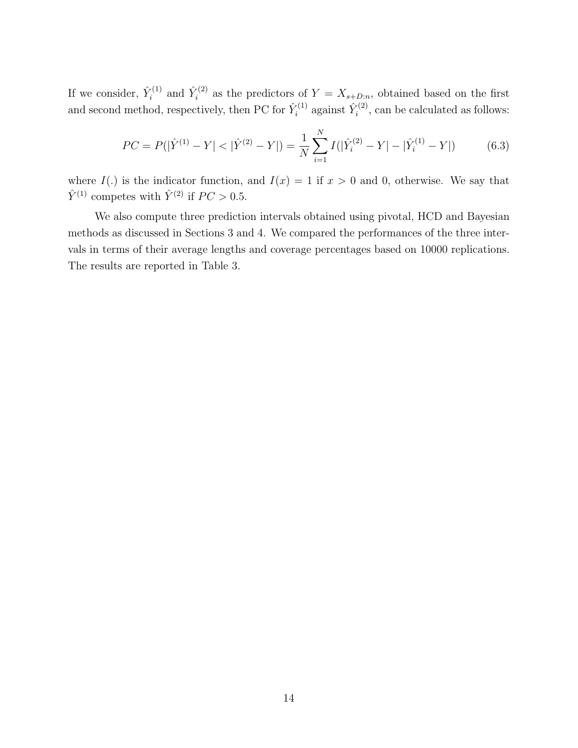If we consider,  $\hat{Y}_i^{(1)}$  $\hat{Y}_i^{(1)}$  and  $\hat{Y}_i^{(2)}$  $i^{(2)}$  as the predictors of  $Y = X_{s+D:n}$ , obtained based on the first and second method, respectively, then PC for  $\hat{Y}_i^{(1)}$  $\hat{Y}_i^{(1)}$  against  $\hat{Y}_i^{(2)}$  $\zeta_i^{(2)}$ , can be calculated as follows:

$$
PC = P(|\hat{Y}^{(1)} - Y| < |\hat{Y}^{(2)} - Y|) = \frac{1}{N} \sum_{i=1}^{N} I(|\hat{Y}_i^{(2)} - Y| - |\hat{Y}_i^{(1)} - Y|) \tag{6.3}
$$

where  $I(.)$  is the indicator function, and  $I(x) = 1$  if  $x > 0$  and 0, otherwise. We say that  $\hat{Y}^{(1)}$  competes with  $\hat{Y}^{(2)}$  if  $PC > 0.5$ .

We also compute three prediction intervals obtained using pivotal, HCD and Bayesian methods as discussed in Sections 3 and 4. We compared the performances of the three intervals in terms of their average lengths and coverage percentages based on 10000 replications. The results are reported in Table 3.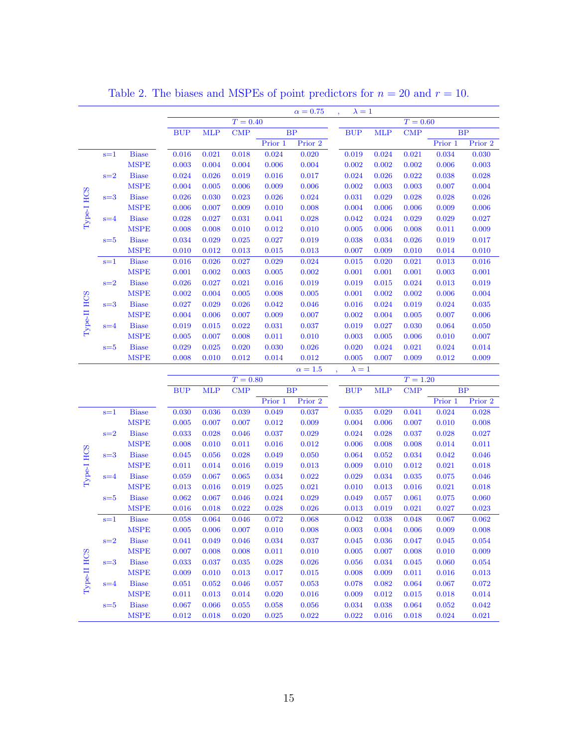|             |         |              |                |            |              |                | $\alpha = 0.75$ | $\lambda = 1$  |                |                |                |                |
|-------------|---------|--------------|----------------|------------|--------------|----------------|-----------------|----------------|----------------|----------------|----------------|----------------|
|             |         |              |                |            | $T = 0.40$   |                |                 |                |                | $T = 0.60$     |                |                |
|             |         |              | <b>BUP</b>     | <b>MLP</b> | $\text{CMP}$ |                | <b>BP</b>       | <b>BUP</b>     | <b>MLP</b>     | <b>CMP</b>     |                | BP             |
|             |         |              |                |            |              | Prior 1        | Prior 2         |                |                |                | Prior 1        | Prior 2        |
|             | $s=1$   | <b>Biase</b> | 0.016          | 0.021      | 0.018        | 0.024          | 0.020           | 0.019          | 0.024          | 0.021          | 0.034          | 0.030          |
|             |         | <b>MSPE</b>  | 0.003          | 0.004      | 0.004        | 0.006          | 0.004           | 0.002          | 0.002          | 0.002          | 0.006          | 0.003          |
|             | $s=2$   | <b>Biase</b> | 0.024          | 0.026      | 0.019        | 0.016          | 0.017           | 0.024          | 0.026          | 0.022          | 0.038          | 0.028          |
|             |         | <b>MSPE</b>  | 0.004          | 0.005      | 0.006        | 0.009          | 0.006           | 0.002          | 0.003          | 0.003          | 0.007          | 0.004          |
| Type-I HCS  | $s=3$   | <b>Biase</b> | 0.026          | 0.030      | 0.023        | 0.026          | 0.024           | 0.031          | 0.029          | 0.028          | 0.028          | 0.026          |
|             |         | <b>MSPE</b>  | 0.006          | 0.007      | 0.009        | 0.010          | 0.008           | 0.004          | 0.006          | 0.006          | 0.009          | 0.006          |
|             | $s=4$   | <b>Biase</b> | 0.028          | 0.027      | 0.031        | 0.041          | 0.028           | 0.042          | 0.024          | 0.029          | 0.029          | 0.027          |
|             |         | <b>MSPE</b>  | 0.008          | 0.008      | 0.010        | 0.012          | 0.010           | 0.005          | 0.006          | 0.008          | 0.011          | 0.009          |
|             | $s = 5$ | <b>Biase</b> | 0.034          | 0.029      | 0.025        | 0.027          | 0.019           | 0.038          | 0.034          | 0.026          | 0.019          | 0.017          |
|             |         | <b>MSPE</b>  | 0.010          | 0.012      | 0.013        | 0.015          | 0.013           | 0.007          | 0.009          | 0.010          | 0.014          | 0.010          |
|             | $s=1$   | <b>Biase</b> | 0.016          | 0.026      | 0.027        | 0.029          | 0.024           | 0.015          | 0.020          | 0.021          | 0.013          | 0.016          |
|             |         | <b>MSPE</b>  | 0.001          | 0.002      | 0.003        | 0.005          | 0.002           | 0.001          | 0.001          | 0.001          | 0.003          | 0.001          |
|             | $s=2$   | <b>Biase</b> | 0.026          | 0.027      | 0.021        | 0.016          | 0.019           | 0.019          | 0.015          | 0.024          | 0.013          | 0.019          |
|             |         | <b>MSPE</b>  | 0.002          | 0.004      | 0.005        | 0.008          | 0.005           | 0.001          | 0.002          | 0.002          | 0.006          | 0.004          |
|             | $s=3$   | <b>Biase</b> | 0.027          | 0.029      | 0.026        | 0.042          | 0.046           | 0.016          | 0.024          | 0.019          | 0.024          | 0.035          |
| Type-II HCS |         | <b>MSPE</b>  | 0.004          | 0.006      | 0.007        | 0.009          | 0.007           | 0.002          | 0.004          | 0.005          | 0.007          | 0.006          |
|             | $s = 4$ | <b>Biase</b> | 0.019          | 0.015      | 0.022        | 0.031          | 0.037           | 0.019          | 0.027          | 0.030          | 0.064          | 0.050          |
|             |         | <b>MSPE</b>  | 0.005          | 0.007      | 0.008        | 0.011          | 0.010           | 0.003          | 0.005          | 0.006          | 0.010          | 0.007          |
|             | $s = 5$ | <b>Biase</b> | 0.029          | 0.025      | 0.020        | 0.030          | 0.026           | 0.020          | 0.024          | 0.021          | 0.024          | 0.014          |
|             |         | <b>MSPE</b>  | 0.008          | 0.010      | 0.012        | 0.014          | 0.012           | 0.005          | 0.007          | 0.009          | 0.012          | 0.009          |
|             |         |              |                |            |              |                |                 |                |                |                |                |                |
|             |         |              |                |            |              |                |                 |                |                |                |                |                |
|             |         |              |                |            |              |                | $\alpha=1.5$    | $\lambda = 1$  |                |                |                |                |
|             |         |              |                |            | $T = 0.80$   |                |                 |                |                | $T = 1.20$     |                |                |
|             |         |              | <b>BUP</b>     | <b>MLP</b> | $\text{CMP}$ | Prior 1        | BP<br>Prior 2   | <b>BUP</b>     | <b>MLP</b>     | <b>CMP</b>     | Prior 1        | BP<br>Prior 2  |
|             | $s=1$   | Biase        | 0.030          | 0.036      | 0.039        | 0.049          | 0.037           | 0.035          | 0.029          | 0.041          | 0.024          | 0.028          |
|             |         | <b>MSPE</b>  | 0.005          | 0.007      | 0.007        | 0.012          | 0.009           | 0.004          | 0.006          | 0.007          | 0.010          | 0.008          |
|             | $s=2$   | <b>Biase</b> | 0.033          | 0.028      | 0.046        | 0.037          | 0.029           | 0.024          | 0.028          | 0.037          | 0.028          | 0.027          |
|             |         | MSPE         | 0.008          | 0.010      | 0.011        | 0.016          | 0.012           | 0.006          | 0.008          | 0.008          | 0.014          | 0.011          |
|             | $s=3$   | <b>Biase</b> | 0.045          | 0.056      | 0.028        | 0.049          | 0.050           | 0.064          | 0.052          | 0.034          | 0.042          | 0.046          |
|             |         | <b>MSPE</b>  | 0.011          | 0.014      | 0.016        | 0.019          | 0.013           | 0.009          | 0.010          | 0.012          | 0.021          | 0.018          |
|             | $s = 4$ | <b>Biase</b> | 0.059          | 0.067      | 0.065        | 0.034          | 0.022           | 0.029          | 0.034          | 0.035          | 0.075          | 0.046          |
| Type-I HCS  |         | <b>MSPE</b>  | 0.013          | 0.016      | 0.019        | 0.025          | 0.021           | 0.010          | 0.013          | 0.016          | 0.021          | 0.018          |
|             | $s = 5$ | <b>Biase</b> | 0.062          | 0.067      | 0.046        | 0.024          | 0.029           | 0.049          | 0.057          | 0.061          | 0.075          | 0.060          |
|             |         | <b>MSPE</b>  | 0.016          | 0.018      | 0.022        | 0.028          | 0.026           | 0.013          | 0.019          | 0.021          | 0.027          | 0.023          |
|             | $s=1$   | <b>Biase</b> | 0.058          | 0.064      | 0.046        | 0.072          | 0.068           | 0.042          | 0.038          | 0.048          | 0.067          | 0.062          |
|             |         | <b>MSPE</b>  | 0.005          | 0.006      | 0.007        | 0.010          | 0.008           | 0.003          | 0.004          | 0.006          | 0.009          | 0.008          |
|             | $s=2$   | <b>Biase</b> | 0.041          | 0.049      | 0.046        | 0.034          | 0.037           | 0.045          | 0.036          | 0.047          | 0.045          | 0.054          |
|             |         | <b>MSPE</b>  | 0.007          | 0.008      | 0.008        | 0.011          | 0.010           | 0.005          | 0.007          | 0.008          | 0.010          | 0.009          |
|             | $s=3$   | <b>Biase</b> | 0.033          | 0.037      | 0.035        | 0.028          | 0.026           | 0.056          | 0.034          | 0.045          | 0.060          | 0.054          |
|             |         | <b>MSPE</b>  | 0.009          | 0.010      | 0.013        | 0.017          | 0.015           | 0.008          | 0.009          | 0.011          | 0.016          | 0.013          |
|             | $s = 4$ | <b>Biase</b> | 0.051          | 0.052      | 0.046        | 0.057          | 0.053           | 0.078          | 0.082          | 0.064          | 0.067          | 0.072          |
| Type-II HCS |         | <b>MSPE</b>  |                | 0.013      | 0.014        |                |                 |                |                |                |                |                |
|             | $s = 5$ | <b>Biase</b> | 0.011<br>0.067 | 0.066      | 0.055        | 0.020<br>0.058 | 0.016<br>0.056  | 0.009<br>0.034 | 0.012<br>0.038 | 0.015<br>0.064 | 0.018<br>0.052 | 0.014<br>0.042 |

Table 2. The biases and MSPEs of point predictors for  $n = 20$  and  $r = 10$ .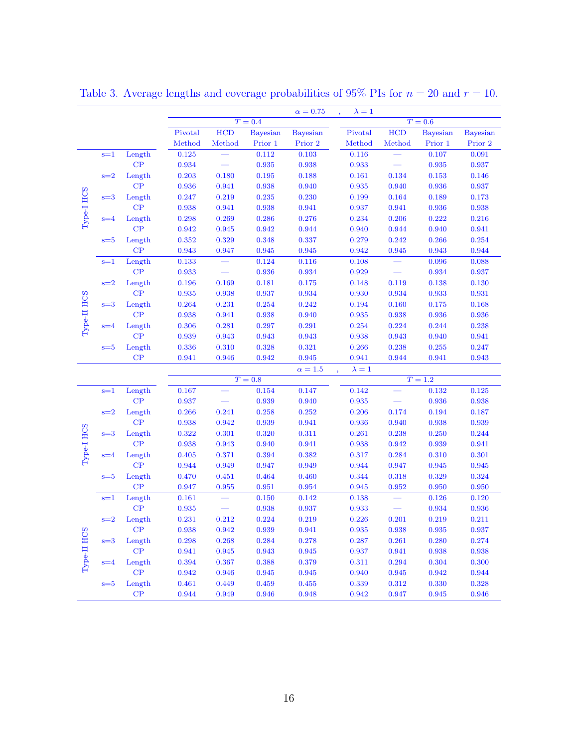|             |         |               |         |        |                 | $\alpha = 0.75$ | $\lambda = 1$ |        |                 |                 |
|-------------|---------|---------------|---------|--------|-----------------|-----------------|---------------|--------|-----------------|-----------------|
|             |         |               |         |        | $T=0.4$         |                 |               |        | $T=0.6$         |                 |
|             |         |               | Pivotal | HCD    | <b>Bayesian</b> | <b>Bayesian</b> | Pivotal       | HCD    | <b>Bayesian</b> | <b>Bayesian</b> |
|             |         |               | Method  | Method | Prior 1         | Prior 2         | Method        | Method | Prior 1         | Prior 2         |
|             | $s=1$   | Length        | 0.125   |        | 0.112           | 0.103           | 0.116         |        | 0.107           | 0.091           |
|             |         | $\mathrm{CP}$ | 0.934   |        | 0.935           | 0.938           | 0.933         |        | 0.935           | 0.937           |
|             | $s=2$   | Length        | 0.203   | 0.180  | 0.195           | 0.188           | 0.161         | 0.134  | 0.153           | 0.146           |
|             |         | CP            | 0.936   | 0.941  | 0.938           | 0.940           | 0.935         | 0.940  | 0.936           | 0.937           |
|             | $s = 3$ | Length        | 0.247   | 0.219  | 0.235           | 0.230           | 0.199         | 0.164  | 0.189           | 0.173           |
| Type-I HCS  |         | CP            | 0.938   | 0.941  | 0.938           | 0.941           | 0.937         | 0.941  | 0.936           | 0.938           |
|             | $s = 4$ | Length        | 0.298   | 0.269  | 0.286           | 0.276           | 0.234         | 0.206  | 0.222           | 0.216           |
|             |         | CP            | 0.942   | 0.945  | 0.942           | 0.944           | 0.940         | 0.944  | 0.940           | 0.941           |
|             | $s = 5$ | Length        | 0.352   | 0.329  | 0.348           | 0.337           | 0.279         | 0.242  | 0.266           | 0.254           |
|             |         | CP            | 0.943   | 0.947  | 0.945           | 0.945           | 0.942         | 0.945  | 0.943           | 0.944           |
|             | $s=1$   | Length        | 0.133   |        | 0.124           | 0.116           | 0.108         |        | 0.096           | 0.088           |
|             |         | $\mathrm{CP}$ | 0.933   |        | 0.936           | 0.934           | 0.929         |        | 0.934           | 0.937           |
|             | $s=2$   | Length        | 0.196   | 0.169  | 0.181           | 0.175           | 0.148         | 0.119  | 0.138           | 0.130           |
|             |         | CP            | 0.935   | 0.938  | 0.937           | 0.934           | 0.930         | 0.934  | 0.933           | 0.931           |
|             | $s = 3$ | Length        | 0.264   | 0.231  | 0.254           | 0.242           | 0.194         | 0.160  | $\rm 0.175$     | 0.168           |
| Type-II HCS |         | CP            | 0.938   | 0.941  | 0.938           | 0.940           | 0.935         | 0.938  | 0.936           | 0.936           |
|             | $s=4$   | Length        | 0.306   | 0.281  | 0.297           | 0.291           | 0.254         | 0.224  | 0.244           | 0.238           |
|             |         | CP            | 0.939   | 0.943  | 0.943           | 0.943           | 0.938         | 0.943  | 0.940           | 0.941           |
|             | $s = 5$ | Length        | 0.336   | 0.310  | 0.328           | 0.321           | 0.266         | 0.238  | 0.255           | 0.247           |
|             |         | CP            | 0.941   | 0.946  | 0.942           | 0.945           | 0.941         | 0.944  | 0.941           | 0.943           |
|             |         |               |         |        |                 | $\alpha=1.5$    | $\lambda=1$   |        |                 |                 |
|             |         |               |         |        | $T=0.8$         |                 |               |        | $T=1.2$         |                 |
|             | $s=1$   | Length        | 0.167   |        | 0.154           | 0.147           | 0.142         |        | 0.132           | 0.125           |
|             |         | CP            | 0.937   |        | 0.939           | 0.940           | 0.935         |        | 0.936           | 0.938           |
|             | $s=2$   | Length        | 0.266   | 0.241  | 0.258           | 0.252           | 0.206         | 0.174  | 0.194           | 0.187           |
|             |         | CP            | 0.938   | 0.942  | 0.939           | 0.941           | 0.936         | 0.940  | 0.938           | 0.939           |
| Type-I HCS  | $s = 3$ | Length        | 0.322   | 0.301  | 0.320           | 0.311           | 0.261         | 0.238  | 0.250           | 0.244           |
|             |         | CP            | 0.938   | 0.943  | 0.940           | 0.941           | 0.938         | 0.942  | 0.939           | 0.941           |
|             | $s = 4$ | Length        | 0.405   | 0.371  | 0.394           | 0.382           | 0.317         | 0.284  | 0.310           | 0.301           |
|             |         | CP            | 0.944   | 0.949  | 0.947           | 0.949           | 0.944         | 0.947  | $\,0.945\,$     | $\,0.945\,$     |
|             | $s = 5$ | Length        | 0.470   | 0.451  | 0.464           | 0.460           | 0.344         | 0.318  | 0.329           | 0.324           |
|             |         | $\mathrm{CP}$ | 0.947   | 0.955  | 0.951           | 0.954           | 0.945         | 0.952  | 0.950           | 0.950           |
|             | $s = 1$ | Length        | 0.161   |        | 0.150           | 0.142           | 0.138         |        | 0.126           | 0.120           |
|             |         | CP            | 0.935   |        | 0.938           | 0.937           | 0.933         |        | 0.934           | 0.936           |
|             | $s=2$   | Length        | 0.231   | 0.212  | 0.224           | 0.219           | 0.226         | 0.201  | 0.219           | 0.211           |
|             |         | CP            | 0.938   | 0.942  | 0.939           | 0.941           | 0.935         | 0.938  | 0.935           | 0.937           |
|             | $s = 3$ | Length        | 0.298   | 0.268  | 0.284           | 0.278           | 0.287         | 0.261  | 0.280           | 0.274           |
| Type-II HCS |         | CP            | 0.941   | 0.945  | 0.943           | 0.945           | 0.937         | 0.941  | 0.938           | 0.938           |
|             | $s = 4$ | Length        | 0.394   | 0.367  | 0.388           | 0.379           | 0.311         | 0.294  | 0.304           | 0.300           |
|             |         | CP            | 0.942   | 0.946  | 0.945           | 0.945           | 0.940         | 0.945  | 0.942           | 0.944           |
|             | $s = 5$ | Length        | 0.461   | 0.449  | 0.459           | 0.455           | 0.339         | 0.312  | 0.330           | 0.328           |
|             |         | $\mathrm{CP}$ | 0.944   | 0.949  | 0.946           | 0.948           | 0.942         | 0.947  | 0.945           | 0.946           |

Table 3. Average lengths and coverage probabilities of 95% PIs for  $n = 20$  and  $r = 10$ .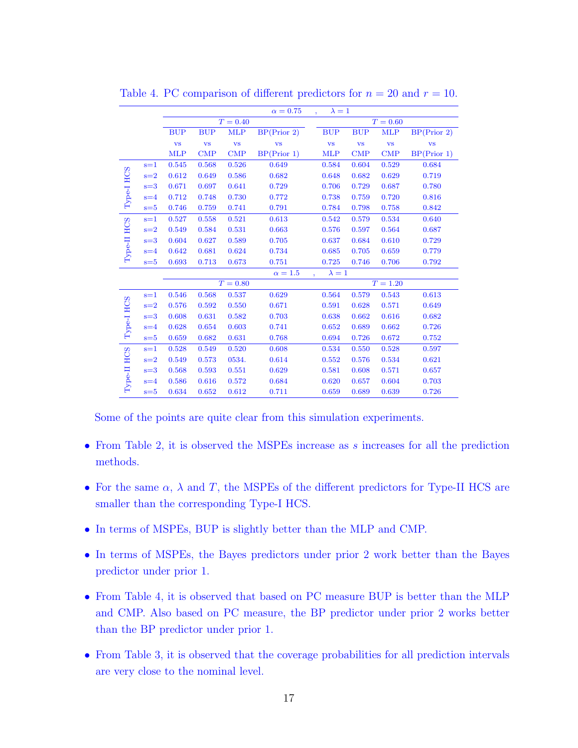|             |         |            |            |            | $\alpha = 0.75$ | $\lambda = 1$          |                        |              |             |
|-------------|---------|------------|------------|------------|-----------------|------------------------|------------------------|--------------|-------------|
|             |         |            |            | $T = 0.40$ |                 |                        |                        | $T = 0.60$   |             |
|             |         | <b>BUP</b> | <b>BUP</b> | <b>MLP</b> | BP(Prior 2)     | <b>BUP</b>             | <b>BUP</b>             | <b>MLP</b>   | BP(Prior 2) |
|             |         | <b>VS</b>  | <b>VS</b>  | <b>VS</b>  | <b>VS</b>       | $\mathbf{v}\mathbf{s}$ | $\mathbf{v}\mathbf{s}$ | <b>VS</b>    | <b>VS</b>   |
|             |         | <b>MLP</b> | <b>CMP</b> | <b>CMP</b> | BP(Prior 1)     | <b>MLP</b>             | <b>CMP</b>             | $\text{CMP}$ | BP(Prior 1) |
|             | $s=1$   | 0.545      | 0.568      | 0.526      | 0.649           | 0.584                  | 0.604                  | 0.529        | 0.684       |
|             | $s=2$   | 0.612      | 0.649      | 0.586      | 0.682           | 0.648                  | 0.682                  | 0.629        | 0.719       |
|             | $s=3$   | 0.671      | 0.697      | 0.641      | 0.729           | 0.706                  | 0.729                  | 0.687        | 0.780       |
| Type-I HCS  | $s = 4$ | 0.712      | 0.748      | 0.730      | 0.772           | 0.738                  | 0.759                  | 0.720        | 0.816       |
|             | $s = 5$ | 0.746      | 0.759      | 0.741      | 0.791           | 0.784                  | 0.798                  | 0.758        | 0.842       |
|             | $s=1$   | 0.527      | 0.558      | 0.521      | 0.613           | 0.542                  | 0.579                  | 0.534        | 0.640       |
| Type-II HCS | $s=2$   | 0.549      | 0.584      | 0.531      | 0.663           | 0.576                  | 0.597                  | 0.564        | 0.687       |
|             | $s=3$   | 0.604      | 0.627      | 0.589      | 0.705           | 0.637                  | 0.684                  | 0.610        | 0.729       |
|             | $s = 4$ | 0.642      | 0.681      | 0.624      | 0.734           | 0.685                  | 0.705                  | 0.659        | 0.779       |
|             | $s = 5$ | 0.693      | 0.713      | 0.673      | 0.751           | 0.725                  | 0.746                  | 0.706        | 0.792       |
|             |         |            |            |            | $\alpha = 1.5$  | $\lambda = 1$          |                        |              |             |
|             |         |            |            | $T = 0.80$ |                 |                        |                        | $T = 1.20$   |             |
|             | $s=1$   | 0.546      | 0.568      | 0.537      | 0.629           | 0.564                  | 0.579                  | 0.543        | 0.613       |
| Type-I HCS  | $s=2$   | 0.576      | 0.592      | 0.550      | 0.671           | 0.591                  | 0.628                  | 0.571        | 0.649       |
|             | $s=3$   | 0.608      | 0.631      | 0.582      | 0.703           | 0.638                  | 0.662                  | 0.616        | 0.682       |
|             | $s = 4$ | 0.628      | 0.654      | 0.603      | 0.741           | 0.652                  | 0.689                  | 0.662        | 0.726       |
|             | $s = 5$ | 0.659      | 0.682      | 0.631      | 0.768           | 0.694                  | 0.726                  | 0.672        | 0.752       |
|             | $s=1$   | 0.528      | 0.549      | 0.520      | 0.608           | 0.534                  | 0.550                  | 0.528        | 0.597       |
|             | $s=2$   | 0.549      | 0.573      | 0534.      | 0.614           | 0.552                  | 0.576                  | 0.534        | 0.621       |
| Type-II HCS | $s=3$   | 0.568      | 0.593      | 0.551      | 0.629           | 0.581                  | 0.608                  | 0.571        | 0.657       |
|             | $s = 4$ | 0.586      | 0.616      | 0.572      | 0.684           | 0.620                  | 0.657                  | 0.604        | 0.703       |
|             | $s = 5$ | 0.634      | 0.652      | 0.612      | 0.711           | 0.659                  | 0.689                  | 0.639        | 0.726       |

Table 4. PC comparison of different predictors for  $n = 20$  and  $r = 10$ .

Some of the points are quite clear from this simulation experiments.

- From Table 2, it is observed the MSPEs increase as s increases for all the prediction methods.
- For the same  $\alpha$ ,  $\lambda$  and T, the MSPEs of the different predictors for Type-II HCS are smaller than the corresponding Type-I HCS.
- In terms of MSPEs, BUP is slightly better than the MLP and CMP.
- In terms of MSPEs, the Bayes predictors under prior 2 work better than the Bayes predictor under prior 1.
- From Table 4, it is observed that based on PC measure BUP is better than the MLP and CMP. Also based on PC measure, the BP predictor under prior 2 works better than the BP predictor under prior 1.
- From Table 3, it is observed that the coverage probabilities for all prediction intervals are very close to the nominal level.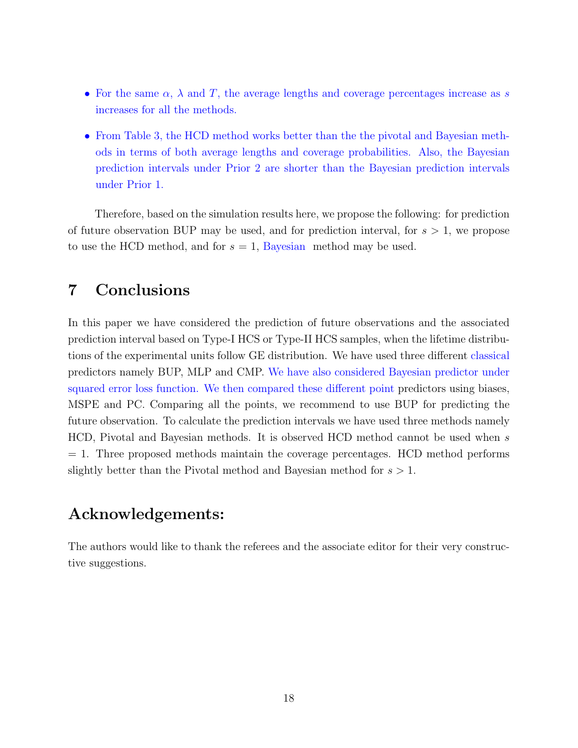- For the same  $\alpha$ ,  $\lambda$  and T, the average lengths and coverage percentages increase as s increases for all the methods.
- From Table 3, the HCD method works better than the the pivotal and Bayesian methods in terms of both average lengths and coverage probabilities. Also, the Bayesian prediction intervals under Prior 2 are shorter than the Bayesian prediction intervals under Prior 1.

Therefore, based on the simulation results here, we propose the following: for prediction of future observation BUP may be used, and for prediction interval, for  $s > 1$ , we propose to use the HCD method, and for  $s = 1$ , Bayesian method may be used.

### 7 Conclusions

In this paper we have considered the prediction of future observations and the associated prediction interval based on Type-I HCS or Type-II HCS samples, when the lifetime distributions of the experimental units follow GE distribution. We have used three different classical predictors namely BUP, MLP and CMP. We have also considered Bayesian predictor under squared error loss function. We then compared these different point predictors using biases, MSPE and PC. Comparing all the points, we recommend to use BUP for predicting the future observation. To calculate the prediction intervals we have used three methods namely HCD, Pivotal and Bayesian methods. It is observed HCD method cannot be used when s = 1. Three proposed methods maintain the coverage percentages. HCD method performs slightly better than the Pivotal method and Bayesian method for  $s > 1$ .

### Acknowledgements:

The authors would like to thank the referees and the associate editor for their very constructive suggestions.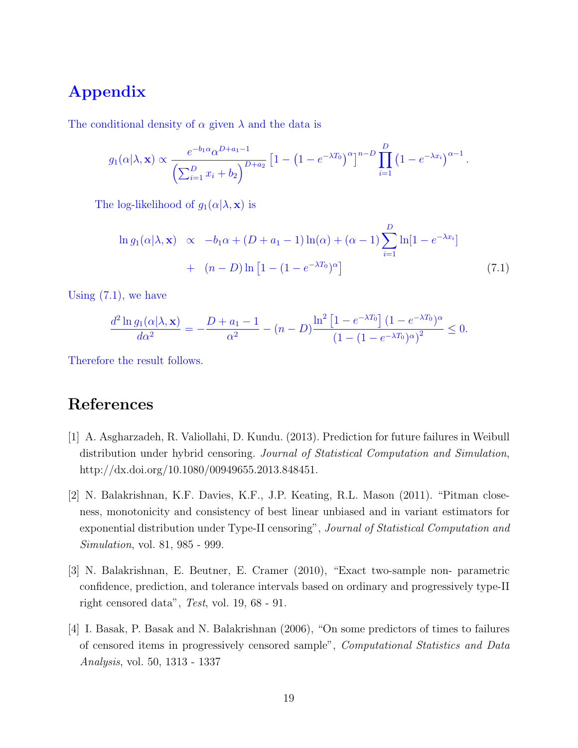# Appendix

The conditional density of  $\alpha$  given  $\lambda$  and the data is

$$
g_1(\alpha|\lambda, \mathbf{x}) \propto \frac{e^{-b_1 \alpha} \alpha^{D+a_1-1}}{\left(\sum_{i=1}^D x_i + b_2\right)^{D+a_2}} \left[1 - \left(1 - e^{-\lambda T_0}\right)^{\alpha}\right]^{n-D} \prod_{i=1}^D \left(1 - e^{-\lambda x_i}\right)^{\alpha-1}.
$$

The log-likelihood of  $g_1(\alpha|\lambda, \mathbf{x})$  is

$$
\ln g_1(\alpha|\lambda, \mathbf{x}) \propto -b_1 \alpha + (D + a_1 - 1) \ln(\alpha) + (\alpha - 1) \sum_{i=1}^{D} \ln[1 - e^{-\lambda x_i}] + (n - D) \ln[1 - (1 - e^{-\lambda T_0})^{\alpha}] \tag{7.1}
$$

Using  $(7.1)$ , we have

$$
\frac{d^2 \ln g_1(\alpha | \lambda, \mathbf{x})}{d\alpha^2} = -\frac{D + a_1 - 1}{\alpha^2} - (n - D) \frac{\ln^2 [1 - e^{-\lambda T_0}](1 - e^{-\lambda T_0})^{\alpha}}{(1 - (1 - e^{-\lambda T_0})^{\alpha})^2} \le 0.
$$

Therefore the result follows.

### References

- [1] A. Asgharzadeh, R. Valiollahi, D. Kundu. (2013). Prediction for future failures in Weibull distribution under hybrid censoring. Journal of Statistical Computation and Simulation, http://dx.doi.org/10.1080/00949655.2013.848451.
- [2] N. Balakrishnan, K.F. Davies, K.F., J.P. Keating, R.L. Mason (2011). "Pitman closeness, monotonicity and consistency of best linear unbiased and in variant estimators for exponential distribution under Type-II censoring", Journal of Statistical Computation and Simulation, vol. 81, 985 - 999.
- [3] N. Balakrishnan, E. Beutner, E. Cramer (2010), "Exact two-sample non- parametric confidence, prediction, and tolerance intervals based on ordinary and progressively type-II right censored data", Test, vol. 19, 68 - 91.
- [4] I. Basak, P. Basak and N. Balakrishnan (2006), "On some predictors of times to failures of censored items in progressively censored sample", Computational Statistics and Data Analysis, vol. 50, 1313 - 1337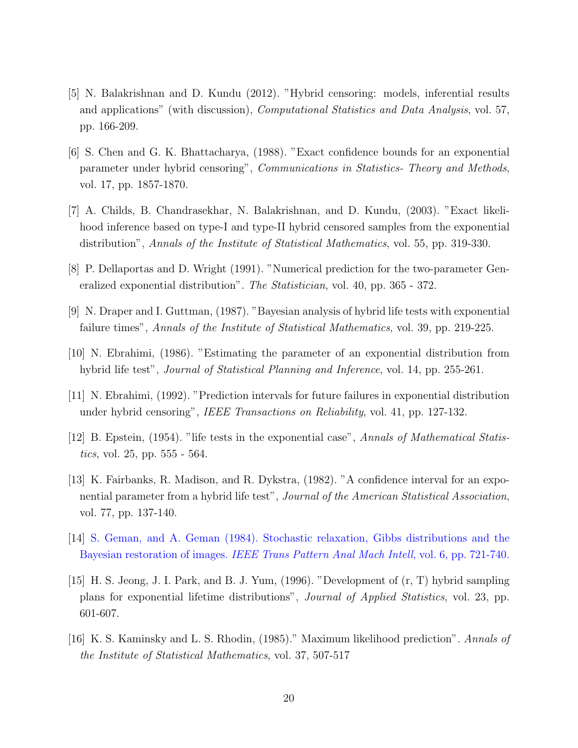- [5] N. Balakrishnan and D. Kundu (2012). "Hybrid censoring: models, inferential results and applications" (with discussion), Computational Statistics and Data Analysis, vol. 57, pp. 166-209.
- [6] S. Chen and G. K. Bhattacharya, (1988). "Exact confidence bounds for an exponential parameter under hybrid censoring", Communications in Statistics- Theory and Methods, vol. 17, pp. 1857-1870.
- [7] A. Childs, B. Chandrasekhar, N. Balakrishnan, and D. Kundu, (2003). "Exact likelihood inference based on type-I and type-II hybrid censored samples from the exponential distribution", Annals of the Institute of Statistical Mathematics, vol. 55, pp. 319-330.
- [8] P. Dellaportas and D. Wright (1991). "Numerical prediction for the two-parameter Generalized exponential distribution". The Statistician, vol. 40, pp. 365 - 372.
- [9] N. Draper and I. Guttman, (1987). "Bayesian analysis of hybrid life tests with exponential failure times", Annals of the Institute of Statistical Mathematics, vol. 39, pp. 219-225.
- [10] N. Ebrahimi, (1986). "Estimating the parameter of an exponential distribution from hybrid life test", *Journal of Statistical Planning and Inference*, vol. 14, pp. 255-261.
- [11] N. Ebrahimi, (1992). "Prediction intervals for future failures in exponential distribution under hybrid censoring", IEEE Transactions on Reliability, vol. 41, pp. 127-132.
- [12] B. Epstein, (1954). "life tests in the exponential case", Annals of Mathematical Statistics, vol. 25, pp. 555 - 564.
- [13] K. Fairbanks, R. Madison, and R. Dykstra, (1982). "A confidence interval for an exponential parameter from a hybrid life test", Journal of the American Statistical Association, vol. 77, pp. 137-140.
- [14] S. Geman, and A. Geman (1984). Stochastic relaxation, Gibbs distributions and the Bayesian restoration of images. IEEE Trans Pattern Anal Mach Intell, vol. 6, pp. 721-740.
- [15] H. S. Jeong, J. I. Park, and B. J. Yum, (1996). "Development of (r, T) hybrid sampling plans for exponential lifetime distributions", Journal of Applied Statistics, vol. 23, pp. 601-607.
- [16] K. S. Kaminsky and L. S. Rhodin, (1985)." Maximum likelihood prediction". Annals of the Institute of Statistical Mathematics, vol. 37, 507-517